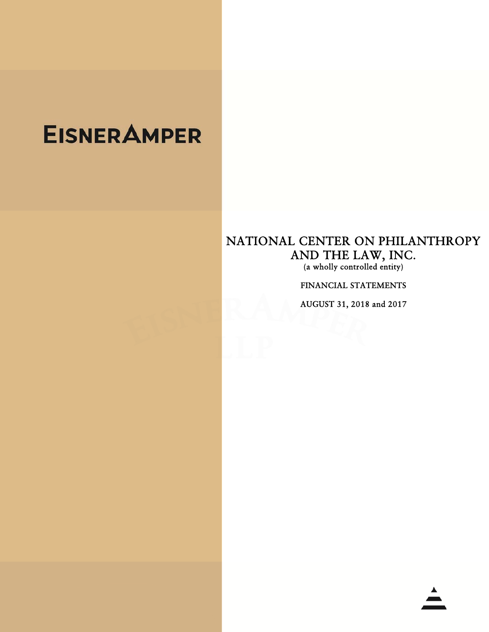# **EISNERAMPER**

# NATIONAL CENTER ON PHILANTHROPY AND THE LAW, INC.

(a wholly controlled entity)

FINANCIAL STATEMENTS

AUGUST 31, 2018 and 2017

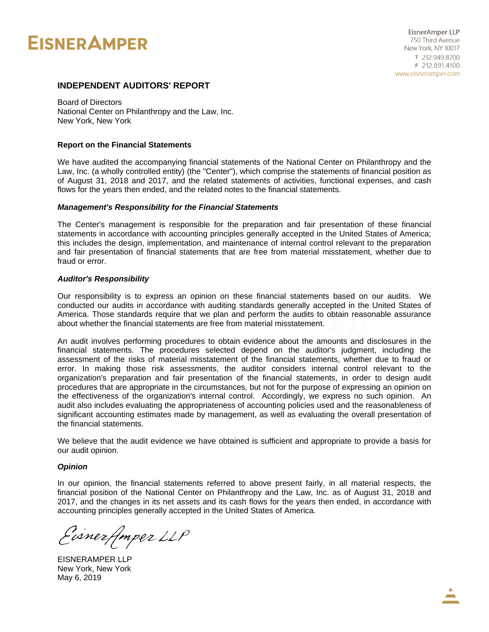# **EISNER AMPER**

# **INDEPENDENT AUDITORS' REPORT**

 Board of Directors National Center on Philanthropy and the Law, Inc. New York, New York

#### **Report on the Financial Statements**

We have audited the accompanying financial statements of the National Center on Philanthropy and the Law, Inc. (a wholly controlled entity) (the "Center"), which comprise the statements of financial position as of August 31, 2018 and 2017, and the related statements of activities, functional expenses, and cash flows for the years then ended, and the related notes to the financial statements.

#### *Management's Responsibility for the Financial Statements*

The Center's management is responsible for the preparation and fair presentation of these financial statements in accordance with accounting principles generally accepted in the United States of America; this includes the design, implementation, and maintenance of internal control relevant to the preparation and fair presentation of financial statements that are free from material misstatement, whether due to fraud or error.

#### *Auditor's Responsibility*

Our responsibility is to express an opinion on these financial statements based on our audits. We conducted our audits in accordance with auditing standards generally accepted in the United States of America. Those standards require that we plan and perform the audits to obtain reasonable assurance about whether the financial statements are free from material misstatement.

An audit involves performing procedures to obtain evidence about the amounts and disclosures in the financial statements. The procedures selected depend on the auditor's judgment, including the assessment of the risks of material misstatement of the financial statements, whether due to fraud or error. In making those risk assessments, the auditor considers internal control relevant to the organization's preparation and fair presentation of the financial statements, in order to design audit procedures that are appropriate in the circumstances, but not for the purpose of expressing an opinion on the effectiveness of the organization's internal control. Accordingly, we express no such opinion. An audit also includes evaluating the appropriateness of accounting policies used and the reasonableness of significant accounting estimates made by management, as well as evaluating the overall presentation of the financial statements.

We believe that the audit evidence we have obtained is sufficient and appropriate to provide a basis for our audit opinion.

#### *Opinion*

In our opinion, the financial statements referred to above present fairly, in all material respects, the financial position of the National Center on Philanthropy and the Law, Inc. as of August 31, 2018 and 2017, and the changes in its net assets and its cash flows for the years then ended, in accordance with accounting principles generally accepted in the United States of America.

Eisnerfmper LLP

EISNERAMPER LLP New York, New York May 6, 2019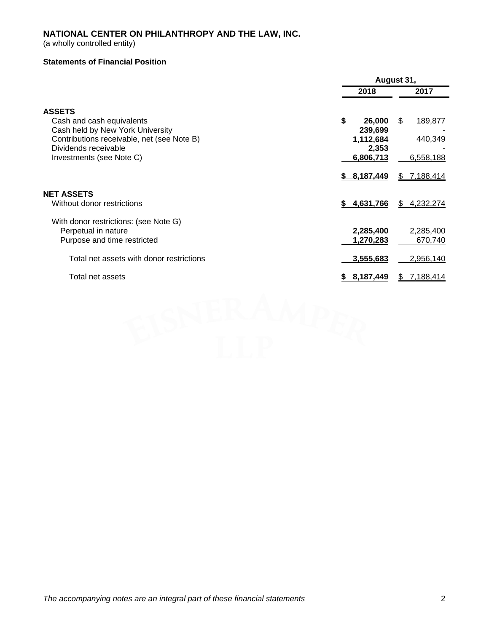(a wholly controlled entity)

#### **Statements of Financial Position**

|                                                                                | August 31,           |               |  |
|--------------------------------------------------------------------------------|----------------------|---------------|--|
|                                                                                | 2018                 | 2017          |  |
| <b>ASSETS</b>                                                                  |                      |               |  |
| Cash and cash equivalents                                                      | \$<br>26,000         | S.<br>189,877 |  |
| Cash held by New York University<br>Contributions receivable, net (see Note B) | 239,699<br>1,112,684 | 440,349       |  |
| Dividends receivable                                                           | 2,353                |               |  |
| Investments (see Note C)                                                       | 6,806,713            | 6,558,188     |  |
|                                                                                | \$8,187,449          | \$7,188,414   |  |
| <b>NET ASSETS</b>                                                              |                      |               |  |
| Without donor restrictions                                                     | \$4,631,766          | \$4,232,274   |  |
| With donor restrictions: (see Note G)                                          |                      |               |  |
| Perpetual in nature                                                            | 2,285,400            | 2,285,400     |  |
| Purpose and time restricted                                                    | 1,270,283            | 670,740       |  |
| Total net assets with donor restrictions                                       | 3,555,683            | 2,956,140     |  |
| Total net assets                                                               | 8.187.449            | 7,188,414     |  |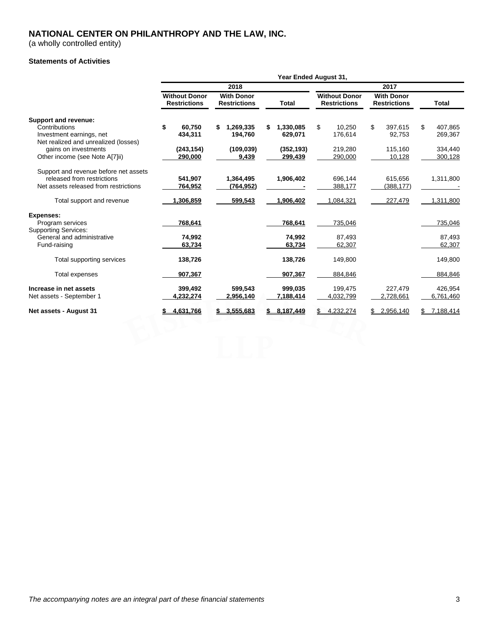(a wholly controlled entity)

# **Statements of Activities**

|                                                                                                              | Year Ended August 31,                       |                                          |                            |                                             |                                          |                          |  |
|--------------------------------------------------------------------------------------------------------------|---------------------------------------------|------------------------------------------|----------------------------|---------------------------------------------|------------------------------------------|--------------------------|--|
|                                                                                                              |                                             | 2018                                     |                            |                                             | 2017                                     |                          |  |
|                                                                                                              | <b>Without Donor</b><br><b>Restrictions</b> | <b>With Donor</b><br><b>Restrictions</b> | Total                      | <b>Without Donor</b><br><b>Restrictions</b> | <b>With Donor</b><br><b>Restrictions</b> | <b>Total</b>             |  |
| Support and revenue:<br>Contributions<br>Investment earnings, net<br>Net realized and unrealized (losses)    | \$<br>60.750<br>434,311                     | 1,269,335<br>\$<br>194,760               | 1,330,085<br>\$<br>629,071 | \$<br>10,250<br>176,614                     | \$<br>397.615<br>92,753                  | \$<br>407,865<br>269,367 |  |
| gains on investments<br>Other income (see Note A[7]ii)                                                       | (243, 154)<br>290,000                       | (109, 039)<br>9,439                      | (352, 193)<br>299,439      | 219,280<br>290,000                          | 115,160<br>10,128                        | 334,440<br>300,128       |  |
| Support and revenue before net assets<br>released from restrictions<br>Net assets released from restrictions | 541.907<br>764,952                          | 1,364,495<br>(764,952)                   | 1,906,402                  | 696.144<br>388,177                          | 615.656<br>(388,177)                     | 1,311,800                |  |
| Total support and revenue                                                                                    | 1,306,859                                   | 599,543                                  | 1,906,402                  | 1,084,321                                   | 227,479                                  | 1,311,800                |  |
| <b>Expenses:</b><br>Program services                                                                         | 768,641                                     |                                          | 768,641                    | 735,046                                     |                                          | 735,046                  |  |
| <b>Supporting Services:</b><br>General and administrative<br>Fund-raising                                    | 74,992<br>63,734                            |                                          | 74,992<br>63,734           | 87,493<br>62,307                            |                                          | 87,493<br>62,307         |  |
| Total supporting services                                                                                    | 138,726                                     |                                          | 138,726                    | 149,800                                     |                                          | 149,800                  |  |
| Total expenses                                                                                               | 907,367                                     |                                          | 907,367                    | 884,846                                     |                                          | 884,846                  |  |
| Increase in net assets<br>Net assets - September 1                                                           | 399,492<br>4,232,274                        | 599,543<br>2,956,140                     | 999,035<br>7,188,414       | 199,475<br>4,032,799                        | 227,479<br>2,728,661                     | 426,954<br>6,761,460     |  |
| Net assets - August 31                                                                                       | 4,631,766                                   | \$3,555,683                              | 8,187,449<br>\$            | 4,232,274                                   | 2,956,140<br>S.                          | 7,188,414                |  |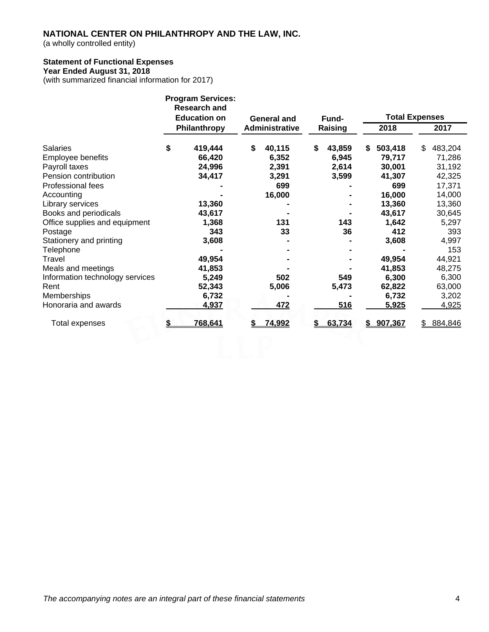(a wholly controlled entity)

#### **Statement of Functional Expenses**

**Year Ended August 31, 2018** 

(with summarized financial information for 2017)

|                                 | <b>Program Services:</b><br><b>Research and</b><br><b>Education on</b> | <b>General and</b> |   | Fund-   |   | <b>Total Expenses</b> |               |
|---------------------------------|------------------------------------------------------------------------|--------------------|---|---------|---|-----------------------|---------------|
|                                 | Philanthropy                                                           | Administrative     |   | Raising |   | 2018                  | 2017          |
| <b>Salaries</b>                 | \$<br>419,444                                                          | \$<br>40,115       | S | 43,859  | S | 503,418               | \$<br>483,204 |
| Employee benefits               | 66,420                                                                 | 6,352              |   | 6,945   |   | 79,717                | 71,286        |
| Payroll taxes                   | 24,996                                                                 | 2,391              |   | 2,614   |   | 30,001                | 31,192        |
| Pension contribution            | 34,417                                                                 | 3,291              |   | 3,599   |   | 41,307                | 42,325        |
| Professional fees               |                                                                        | 699                |   |         |   | 699                   | 17,371        |
| Accounting                      |                                                                        | 16,000             |   |         |   | 16,000                | 14,000        |
| Library services                | 13,360                                                                 |                    |   |         |   | 13,360                | 13,360        |
| Books and periodicals           | 43,617                                                                 |                    |   |         |   | 43,617                | 30,645        |
| Office supplies and equipment   | 1,368                                                                  | 131                |   | 143     |   | 1,642                 | 5,297         |
| Postage                         | 343                                                                    | 33                 |   | 36      |   | 412                   | 393           |
| Stationery and printing         | 3,608                                                                  |                    |   |         |   | 3,608                 | 4,997         |
| Telephone                       |                                                                        |                    |   |         |   |                       | 153           |
| Travel                          | 49,954                                                                 |                    |   |         |   | 49,954                | 44,921        |
| Meals and meetings              | 41,853                                                                 |                    |   |         |   | 41,853                | 48,275        |
| Information technology services | 5,249                                                                  | 502                |   | 549     |   | 6,300                 | 6,300         |
| Rent                            | 52,343                                                                 | 5,006              |   | 5,473   |   | 62,822                | 63,000        |
| Memberships                     | 6,732                                                                  |                    |   |         |   | 6,732                 | 3,202         |
| Honoraria and awards            | 4,937                                                                  | 472                |   | 516     |   | 5,925                 | 4,925         |
| Total expenses                  | 768,641                                                                | 74,992             |   | 63,734  |   | 907,367               | \$<br>884,846 |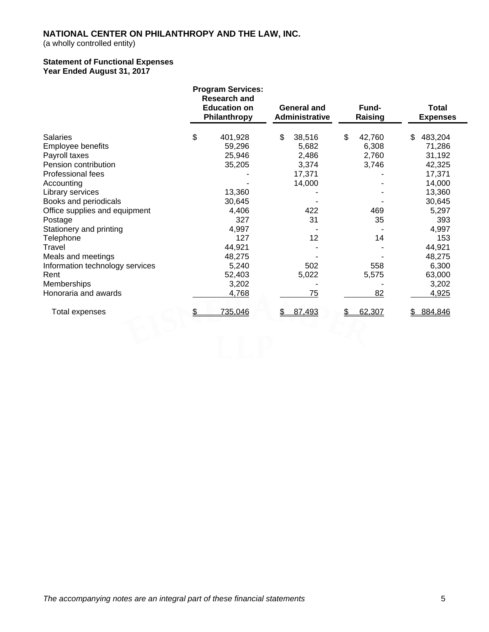(a wholly controlled entity)

#### **Statement of Functional Expenses Year Ended August 31, 2017**

|                                 | <b>Program Services:</b><br><b>Research and</b><br><b>Education on</b><br>Philanthropy | <b>General and</b><br><b>Administrative</b> | <b>Fund-</b><br>Raising | Total<br><b>Expenses</b> |
|---------------------------------|----------------------------------------------------------------------------------------|---------------------------------------------|-------------------------|--------------------------|
| <b>Salaries</b>                 | \$<br>401,928                                                                          | \$<br>38,516                                | \$<br>42,760            | \$<br>483,204            |
| Employee benefits               | 59,296                                                                                 | 5,682                                       | 6,308                   | 71,286                   |
| Payroll taxes                   | 25,946                                                                                 | 2,486                                       | 2,760                   | 31,192                   |
| Pension contribution            | 35,205                                                                                 | 3,374                                       | 3,746                   | 42,325                   |
| Professional fees               |                                                                                        | 17,371                                      |                         | 17,371                   |
| Accounting                      |                                                                                        | 14,000                                      |                         | 14,000                   |
| Library services                | 13,360                                                                                 |                                             |                         | 13,360                   |
| Books and periodicals           | 30,645                                                                                 |                                             |                         | 30,645                   |
| Office supplies and equipment   | 4,406                                                                                  | 422                                         | 469                     | 5,297                    |
| Postage                         | 327                                                                                    | 31                                          | 35                      | 393                      |
| Stationery and printing         | 4,997                                                                                  |                                             |                         | 4,997                    |
| Telephone                       | 127                                                                                    | 12                                          | 14                      | 153                      |
| Travel                          | 44,921                                                                                 |                                             |                         | 44,921                   |
| Meals and meetings              | 48,275                                                                                 |                                             |                         | 48,275                   |
| Information technology services | 5,240                                                                                  | 502                                         | 558                     | 6,300                    |
| Rent                            | 52,403                                                                                 | 5,022                                       | 5,575                   | 63,000                   |
| Memberships                     | 3,202                                                                                  |                                             |                         | 3,202                    |
| Honoraria and awards            | 4,768                                                                                  | 75                                          | 82                      | 4,925                    |
| Total expenses                  | 735,046                                                                                | 87,493                                      | 62,307                  | \$<br>884,846            |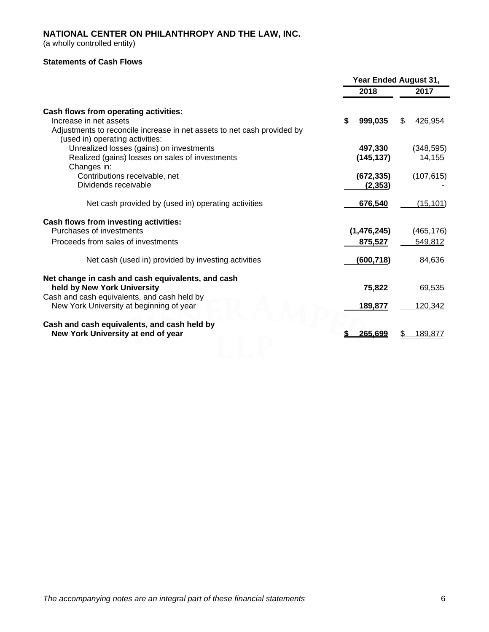(a wholly controlled entity)

#### **Statements of Cash Flows**

|                                                                                                                                      | Year Ended August 31, |               |  |
|--------------------------------------------------------------------------------------------------------------------------------------|-----------------------|---------------|--|
|                                                                                                                                      | 2018                  | 2017          |  |
| Cash flows from operating activities:                                                                                                |                       |               |  |
| Increase in net assets<br>Adjustments to reconcile increase in net assets to net cash provided by<br>(used in) operating activities: | 999,035<br>\$         | \$<br>426,954 |  |
| Unrealized losses (gains) on investments                                                                                             | 497,330               | (348, 595)    |  |
| Realized (gains) losses on sales of investments<br>Changes in:                                                                       | (145, 137)            | 14,155        |  |
| Contributions receivable, net                                                                                                        | (672, 335)            | (107, 615)    |  |
| Dividends receivable                                                                                                                 | (2, 353)              |               |  |
| Net cash provided by (used in) operating activities                                                                                  | 676,540               | (15, 101)     |  |
| Cash flows from investing activities:                                                                                                |                       |               |  |
| Purchases of investments                                                                                                             | (1,476,245)           | (465, 176)    |  |
| Proceeds from sales of investments                                                                                                   | 875,527               | 549,812       |  |
| Net cash (used in) provided by investing activities                                                                                  | (600, 718)            | 84,636        |  |
| Net change in cash and cash equivalents, and cash                                                                                    |                       |               |  |
| held by New York University                                                                                                          | 75,822                | 69,535        |  |
| Cash and cash equivalents, and cash held by                                                                                          |                       |               |  |
| New York University at beginning of year                                                                                             | 189,877               | 120,342       |  |
| Cash and cash equivalents, and cash held by                                                                                          |                       |               |  |
| New York University at end of year                                                                                                   | 265,699               | 189,877       |  |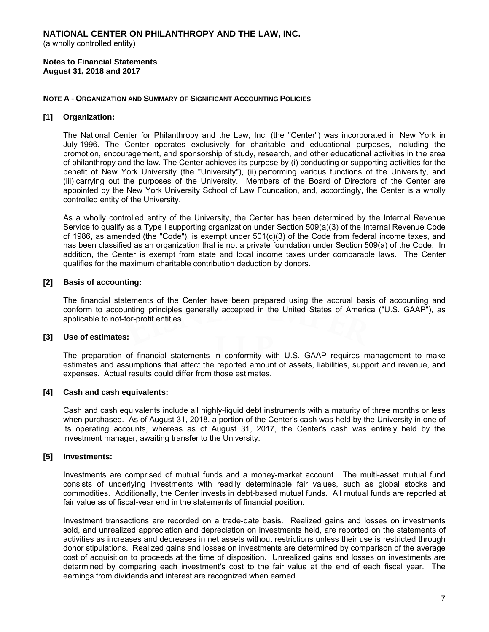(a wholly controlled entity)

**Notes to Financial Statements August 31, 2018 and 2017** 

# **NOTE A - ORGANIZATION AND SUMMARY OF SIGNIFICANT ACCOUNTING POLICIES**

# **[1] Organization:**

The National Center for Philanthropy and the Law, Inc. (the "Center") was incorporated in New York in July 1996. The Center operates exclusively for charitable and educational purposes, including the promotion, encouragement, and sponsorship of study, research, and other educational activities in the area of philanthropy and the law. The Center achieves its purpose by (i) conducting or supporting activities for the benefit of New York University (the "University"), (ii) performing various functions of the University, and (iii) carrying out the purposes of the University. Members of the Board of Directors of the Center are appointed by the New York University School of Law Foundation, and, accordingly, the Center is a wholly controlled entity of the University.

As a wholly controlled entity of the University, the Center has been determined by the Internal Revenue Service to qualify as a Type I supporting organization under Section 509(a)(3) of the Internal Revenue Code of 1986, as amended (the "Code"), is exempt under 501(c)(3) of the Code from federal income taxes, and has been classified as an organization that is not a private foundation under Section 509(a) of the Code. In addition, the Center is exempt from state and local income taxes under comparable laws. The Center qualifies for the maximum charitable contribution deduction by donors.

#### **[2] Basis of accounting:**

The financial statements of the Center have been prepared using the accrual basis of accounting and conform to accounting principles generally accepted in the United States of America ("U.S. GAAP"), as applicable to not-for-profit entities.

#### **[3] Use of estimates:**

The preparation of financial statements in conformity with U.S. GAAP requires management to make estimates and assumptions that affect the reported amount of assets, liabilities, support and revenue, and expenses. Actual results could differ from those estimates.

#### **[4] Cash and cash equivalents:**

Cash and cash equivalents include all highly-liquid debt instruments with a maturity of three months or less when purchased. As of August 31, 2018, a portion of the Center's cash was held by the University in one of its operating accounts, whereas as of August 31, 2017, the Center's cash was entirely held by the investment manager, awaiting transfer to the University.

#### **[5] Investments:**

Investments are comprised of mutual funds and a money-market account. The multi-asset mutual fund consists of underlying investments with readily determinable fair values, such as global stocks and commodities. Additionally, the Center invests in debt-based mutual funds. All mutual funds are reported at fair value as of fiscal-year end in the statements of financial position.

Investment transactions are recorded on a trade-date basis. Realized gains and losses on investments sold, and unrealized appreciation and depreciation on investments held, are reported on the statements of activities as increases and decreases in net assets without restrictions unless their use is restricted through donor stipulations. Realized gains and losses on investments are determined by comparison of the average cost of acquisition to proceeds at the time of disposition. Unrealized gains and losses on investments are determined by comparing each investment's cost to the fair value at the end of each fiscal year. The earnings from dividends and interest are recognized when earned.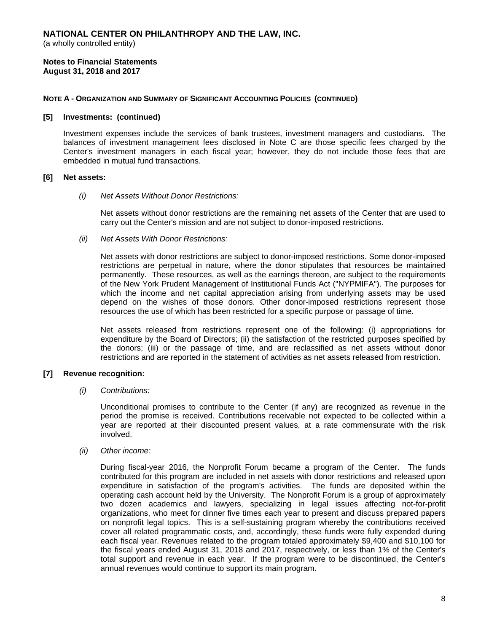(a wholly controlled entity)

#### **Notes to Financial Statements August 31, 2018 and 2017**

#### **NOTE A - ORGANIZATION AND SUMMARY OF SIGNIFICANT ACCOUNTING POLICIES (CONTINUED)**

#### **[5] Investments: (continued)**

Investment expenses include the services of bank trustees, investment managers and custodians. The balances of investment management fees disclosed in Note C are those specific fees charged by the Center's investment managers in each fiscal year; however, they do not include those fees that are embedded in mutual fund transactions.

#### **[6] Net assets:**

#### *(i) Net Assets Without Donor Restrictions:*

Net assets without donor restrictions are the remaining net assets of the Center that are used to carry out the Center's mission and are not subject to donor-imposed restrictions.

*(ii) Net Assets With Donor Restrictions:*

Net assets with donor restrictions are subject to donor-imposed restrictions. Some donor-imposed restrictions are perpetual in nature, where the donor stipulates that resources be maintained permanently. These resources, as well as the earnings thereon, are subject to the requirements of the New York Prudent Management of Institutional Funds Act ("NYPMIFA"). The purposes for which the income and net capital appreciation arising from underlying assets may be used depend on the wishes of those donors. Other donor-imposed restrictions represent those resources the use of which has been restricted for a specific purpose or passage of time.

Net assets released from restrictions represent one of the following: (i) appropriations for expenditure by the Board of Directors; (ii) the satisfaction of the restricted purposes specified by the donors; (iii) or the passage of time, and are reclassified as net assets without donor restrictions and are reported in the statement of activities as net assets released from restriction.

#### **[7] Revenue recognition:**

*(i) Contributions:* 

Unconditional promises to contribute to the Center (if any) are recognized as revenue in the period the promise is received. Contributions receivable not expected to be collected within a year are reported at their discounted present values, at a rate commensurate with the risk involved.

*(ii) Other income:* 

During fiscal-year 2016, the Nonprofit Forum became a program of the Center. The funds contributed for this program are included in net assets with donor restrictions and released upon expenditure in satisfaction of the program's activities. The funds are deposited within the operating cash account held by the University. The Nonprofit Forum is a group of approximately two dozen academics and lawyers, specializing in legal issues affecting not-for-profit organizations, who meet for dinner five times each year to present and discuss prepared papers on nonprofit legal topics. This is a self-sustaining program whereby the contributions received cover all related programmatic costs, and, accordingly, these funds were fully expended during each fiscal year. Revenues related to the program totaled approximately \$9,400 and \$10,100 for the fiscal years ended August 31, 2018 and 2017, respectively, or less than 1% of the Center's total support and revenue in each year. If the program were to be discontinued, the Center's annual revenues would continue to support its main program.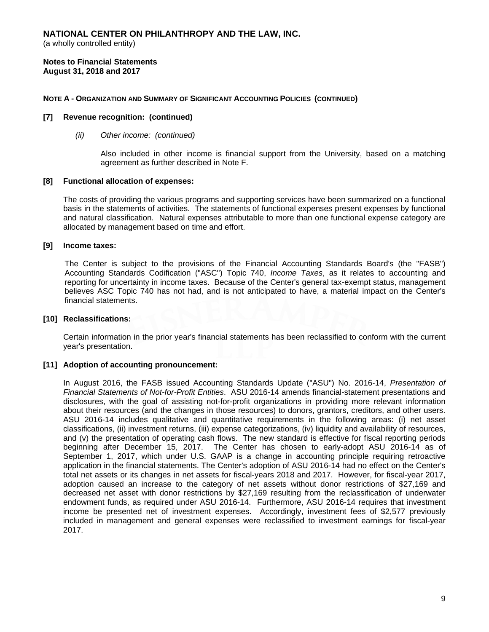(a wholly controlled entity)

**Notes to Financial Statements August 31, 2018 and 2017** 

#### **NOTE A - ORGANIZATION AND SUMMARY OF SIGNIFICANT ACCOUNTING POLICIES (CONTINUED)**

#### **[7] Revenue recognition: (continued)**

#### *(ii) Other income: (continued)*

Also included in other income is financial support from the University, based on a matching agreement as further described in Note F.

#### **[8] Functional allocation of expenses:**

The costs of providing the various programs and supporting services have been summarized on a functional basis in the statements of activities. The statements of functional expenses present expenses by functional and natural classification. Natural expenses attributable to more than one functional expense category are allocated by management based on time and effort.

#### **[9] Income taxes:**

The Center is subject to the provisions of the Financial Accounting Standards Board's (the "FASB") Accounting Standards Codification ("ASC") Topic 740, *Income Taxes*, as it relates to accounting and reporting for uncertainty in income taxes. Because of the Center's general tax-exempt status, management believes ASC Topic 740 has not had, and is not anticipated to have, a material impact on the Center's financial statements.

#### **[10] Reclassifications:**

Certain information in the prior year's financial statements has been reclassified to conform with the current year's presentation.

#### **[11] Adoption of accounting pronouncement:**

In August 2016, the FASB issued Accounting Standards Update ("ASU") No. 2016-14, *Presentation of Financial Statements of Not-for-Profit Entities*. ASU 2016-14 amends financial-statement presentations and disclosures, with the goal of assisting not-for-profit organizations in providing more relevant information about their resources (and the changes in those resources) to donors, grantors, creditors, and other users. ASU 2016-14 includes qualitative and quantitative requirements in the following areas: (i) net asset classifications, (ii) investment returns, (iii) expense categorizations, (iv) liquidity and availability of resources, and (v) the presentation of operating cash flows. The new standard is effective for fiscal reporting periods beginning after December 15, 2017. The Center has chosen to early-adopt ASU 2016-14 as of September 1, 2017, which under U.S. GAAP is a change in accounting principle requiring retroactive application in the financial statements. The Center's adoption of ASU 2016-14 had no effect on the Center's total net assets or its changes in net assets for fiscal-years 2018 and 2017. However, for fiscal-year 2017, adoption caused an increase to the category of net assets without donor restrictions of \$27,169 and decreased net asset with donor restrictions by \$27,169 resulting from the reclassification of underwater endowment funds, as required under ASU 2016-14. Furthermore, ASU 2016-14 requires that investment income be presented net of investment expenses. Accordingly, investment fees of \$2,577 previously included in management and general expenses were reclassified to investment earnings for fiscal-year 2017.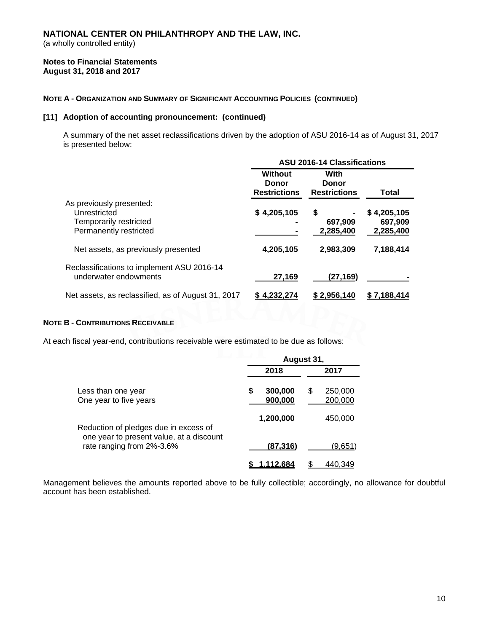(a wholly controlled entity)

#### **Notes to Financial Statements August 31, 2018 and 2017**

#### **NOTE A - ORGANIZATION AND SUMMARY OF SIGNIFICANT ACCOUNTING POLICIES (CONTINUED)**

#### **[11] Adoption of accounting pronouncement: (continued)**

A summary of the net asset reclassifications driven by the adoption of ASU 2016-14 as of August 31, 2017 is presented below:

|                                                    | <b>ASU 2016-14 Classifications</b>      |                                      |             |  |  |
|----------------------------------------------------|-----------------------------------------|--------------------------------------|-------------|--|--|
|                                                    | Without<br>Donor<br><b>Restrictions</b> | With<br>Donor<br><b>Restrictions</b> | Total       |  |  |
| As previously presented:                           |                                         |                                      |             |  |  |
| Unrestricted<br>Temporarily restricted             | \$4,205,105                             | \$                                   | \$4,205,105 |  |  |
| Permanently restricted                             |                                         | 697,909<br>2.285.400                 | 697,909     |  |  |
|                                                    |                                         |                                      | 2,285,400   |  |  |
| Net assets, as previously presented                | 4,205,105                               | 2,983,309                            | 7,188,414   |  |  |
| Reclassifications to implement ASU 2016-14         |                                         |                                      |             |  |  |
| underwater endowments                              | 27.169                                  | (27, 169)                            |             |  |  |
| Net assets, as reclassified, as of August 31, 2017 | \$4.232.274                             | \$2.956.140                          | 7.188.414   |  |  |

#### **NOTE B - CONTRIBUTIONS RECEIVABLE**

At each fiscal year-end, contributions receivable were estimated to be due as follows:

|                                                                                   |   | August 31,         |   |                    |  |
|-----------------------------------------------------------------------------------|---|--------------------|---|--------------------|--|
|                                                                                   |   | 2018               |   | 2017               |  |
| Less than one year<br>One year to five years                                      | S | 300,000<br>900,000 | S | 250,000<br>200,000 |  |
| Reduction of pledges due in excess of<br>one year to present value, at a discount |   | 1,200,000          |   | 450,000            |  |
| rate ranging from 2%-3.6%                                                         |   | (87, 316)          |   | (9,651)            |  |
|                                                                                   |   | 12.684             |   | 440.349            |  |

Management believes the amounts reported above to be fully collectible; accordingly, no allowance for doubtful account has been established.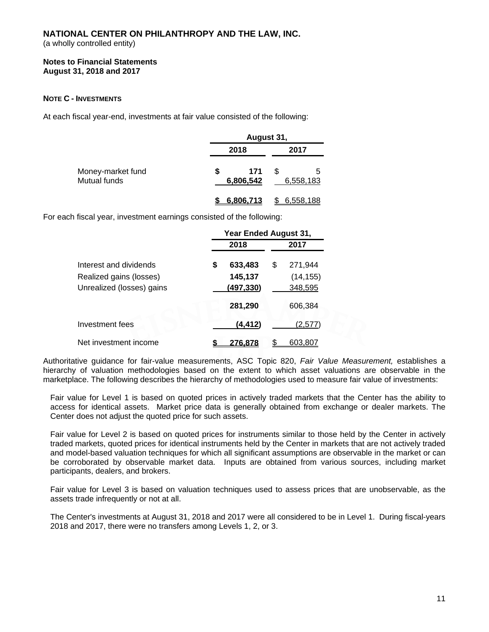(a wholly controlled entity)

#### **Notes to Financial Statements August 31, 2018 and 2017**

#### **NOTE C - INVESTMENTS**

At each fiscal year-end, investments at fair value consisted of the following:

|                                   | August 31,            |                     |  |  |  |
|-----------------------------------|-----------------------|---------------------|--|--|--|
|                                   | 2018                  | 2017                |  |  |  |
| Money-market fund<br>Mutual funds | 171<br>S<br>6,806,542 | S<br>h<br>6,558,183 |  |  |  |
|                                   | 6.806.713             | 6,558,188           |  |  |  |

For each fiscal year, investment earnings consisted of the following:

|                           | Year Ended August 31, |            |    |           |  |
|---------------------------|-----------------------|------------|----|-----------|--|
|                           | 2018                  | 2017       |    |           |  |
| Interest and dividends    | \$                    | 633,483    | \$ | 271,944   |  |
| Realized gains (losses)   |                       | 145,137    |    | (14, 155) |  |
| Unrealized (losses) gains |                       | (497, 330) |    | 348,595   |  |
|                           |                       | 281,290    |    | 606,384   |  |
| Investment fees           |                       | (4, 412)   |    | (2,577)   |  |
| Net investment income     |                       | 276.878    | \$ | 603,807   |  |

Authoritative guidance for fair-value measurements, ASC Topic 820, *Fair Value Measurement,* establishes a hierarchy of valuation methodologies based on the extent to which asset valuations are observable in the marketplace. The following describes the hierarchy of methodologies used to measure fair value of investments:

Fair value for Level 1 is based on quoted prices in actively traded markets that the Center has the ability to access for identical assets. Market price data is generally obtained from exchange or dealer markets. The Center does not adjust the quoted price for such assets.

Fair value for Level 2 is based on quoted prices for instruments similar to those held by the Center in actively traded markets, quoted prices for identical instruments held by the Center in markets that are not actively traded and model-based valuation techniques for which all significant assumptions are observable in the market or can be corroborated by observable market data. Inputs are obtained from various sources, including market participants, dealers, and brokers.

Fair value for Level 3 is based on valuation techniques used to assess prices that are unobservable, as the assets trade infrequently or not at all.

The Center's investments at August 31, 2018 and 2017 were all considered to be in Level 1. During fiscal-years 2018 and 2017, there were no transfers among Levels 1, 2, or 3.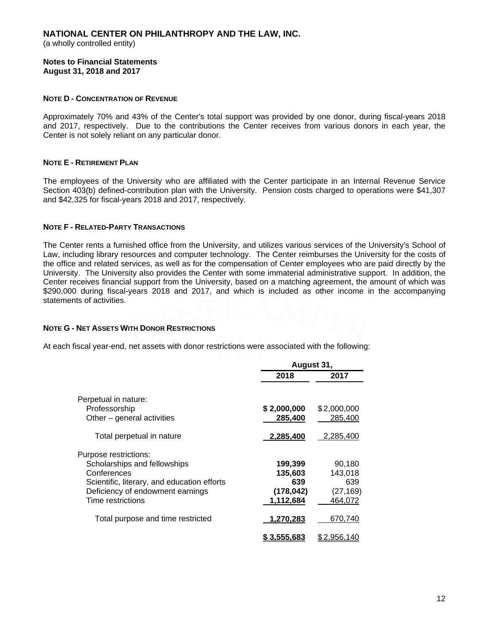(a wholly controlled entity)

#### **Notes to Financial Statements August 31, 2018 and 2017**

#### **NOTE D - CONCENTRATION OF REVENUE**

Approximately 70% and 43% of the Center's total support was provided by one donor, during fiscal-years 2018 and 2017, respectively. Due to the contributions the Center receives from various donors in each year, the Center is not solely reliant on any particular donor.

#### **NOTE E - RETIREMENT PLAN**

The employees of the University who are affiliated with the Center participate in an Internal Revenue Service Section 403(b) defined-contribution plan with the University. Pension costs charged to operations were \$41,307 and \$42,325 for fiscal-years 2018 and 2017, respectively.

#### **NOTE F - RELATED-PARTY TRANSACTIONS**

The Center rents a furnished office from the University, and utilizes various services of the University's School of Law, including library resources and computer technology. The Center reimburses the University for the costs of the office and related services, as well as for the compensation of Center employees who are paid directly by the University. The University also provides the Center with some immaterial administrative support. In addition, the Center receives financial support from the University, based on a matching agreement, the amount of which was \$290,000 during fiscal-years 2018 and 2017, and which is included as other income in the accompanying statements of activities.

#### **NOTE G - NET ASSETS WITH DONOR RESTRICTIONS**

At each fiscal year-end, net assets with donor restrictions were associated with the following:

|                                             | August 31,         |             |  |  |
|---------------------------------------------|--------------------|-------------|--|--|
|                                             | 2018               | 2017        |  |  |
| Perpetual in nature:                        |                    |             |  |  |
| Professorship                               | \$2,000,000        | \$2,000,000 |  |  |
| Other $-$ general activities                | 285,400            | 285,400     |  |  |
| Total perpetual in nature                   | 2,285,400          | 2,285,400   |  |  |
| Purpose restrictions:                       |                    |             |  |  |
| Scholarships and fellowships                | 199,399            | 90,180      |  |  |
| Conferences                                 | 135,603            | 143,018     |  |  |
| Scientific, literary, and education efforts | 639                | 639         |  |  |
| Deficiency of endowment earnings            | (178, 042)         | (27, 169)   |  |  |
| Time restrictions                           | 1,112,684          | 464,072     |  |  |
| Total purpose and time restricted           | 1,270,283          | 670.740     |  |  |
|                                             | <u>\$3.555.683</u> | \$2,956,140 |  |  |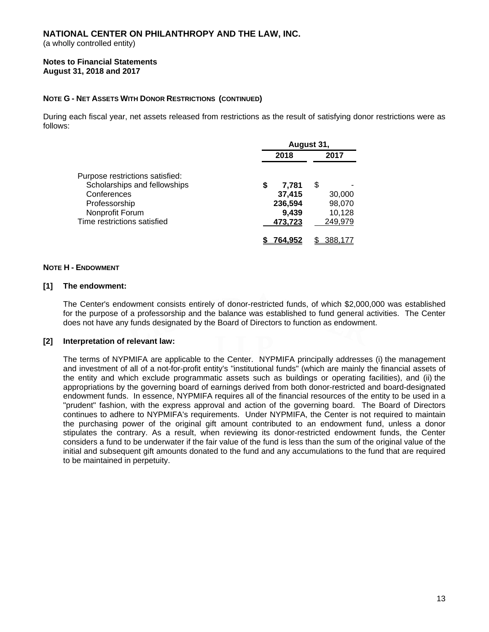(a wholly controlled entity)

#### **Notes to Financial Statements August 31, 2018 and 2017**

#### **NOTE G - NET ASSETS WITH DONOR RESTRICTIONS (CONTINUED)**

During each fiscal year, net assets released from restrictions as the result of satisfying donor restrictions were as follows:

|                                 | August 31, |         |    |         |
|---------------------------------|------------|---------|----|---------|
|                                 | 2018       |         |    | 2017    |
| Purpose restrictions satisfied: |            |         |    |         |
| Scholarships and fellowships    | S          | 7.781   | \$ |         |
| Conferences                     |            | 37,415  |    | 30,000  |
| Professorship                   |            | 236,594 |    | 98,070  |
| Nonprofit Forum                 |            | 9,439   |    | 10,128  |
| Time restrictions satisfied     |            | 473,723 |    | 249,979 |
|                                 |            | 64.95'  |    | 388     |

#### **NOTE H - ENDOWMENT**

#### **[1] The endowment:**

The Center's endowment consists entirely of donor-restricted funds, of which \$2,000,000 was established for the purpose of a professorship and the balance was established to fund general activities. The Center does not have any funds designated by the Board of Directors to function as endowment.

#### **[2] Interpretation of relevant law:**

The terms of NYPMIFA are applicable to the Center. NYPMIFA principally addresses (i) the management and investment of all of a not-for-profit entity's "institutional funds" (which are mainly the financial assets of the entity and which exclude programmatic assets such as buildings or operating facilities), and (ii) the appropriations by the governing board of earnings derived from both donor-restricted and board-designated endowment funds. In essence, NYPMIFA requires all of the financial resources of the entity to be used in a "prudent" fashion, with the express approval and action of the governing board. The Board of Directors continues to adhere to NYPMIFA's requirements. Under NYPMIFA, the Center is not required to maintain the purchasing power of the original gift amount contributed to an endowment fund, unless a donor stipulates the contrary. As a result, when reviewing its donor-restricted endowment funds, the Center considers a fund to be underwater if the fair value of the fund is less than the sum of the original value of the initial and subsequent gift amounts donated to the fund and any accumulations to the fund that are required to be maintained in perpetuity.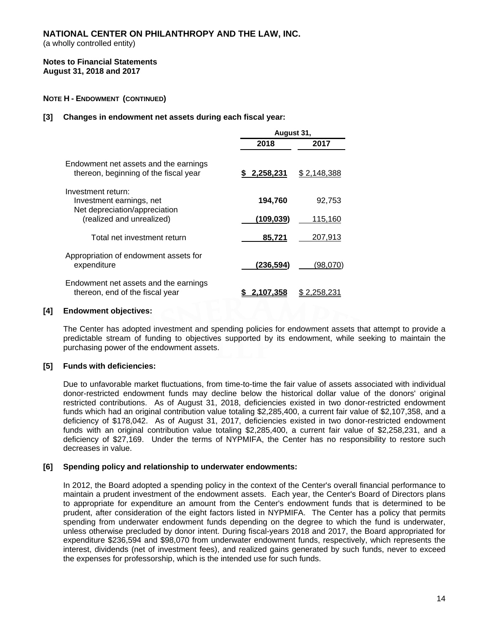(a wholly controlled entity)

#### **Notes to Financial Statements August 31, 2018 and 2017**

#### **NOTE H - ENDOWMENT (CONTINUED)**

#### **[3] Changes in endowment net assets during each fiscal year:**

|                                                                                 | August 31,  |             |  |  |
|---------------------------------------------------------------------------------|-------------|-------------|--|--|
|                                                                                 | 2018        | 2017        |  |  |
| Endowment net assets and the earnings<br>thereon, beginning of the fiscal year  | \$2,258,231 | \$2,148,388 |  |  |
| Investment return:<br>Investment earnings, net<br>Net depreciation/appreciation | 194,760     | 92,753      |  |  |
| (realized and unrealized)                                                       | (109, 039)  | 115,160     |  |  |
| Total net investment return                                                     | 85,721      | 207.913     |  |  |
| Appropriation of endowment assets for<br>expenditure                            | (236, 594)  | (98,070)    |  |  |
| Endowment net assets and the earnings<br>thereon, end of the fiscal year        |             |             |  |  |

#### **[4] Endowment objectives:**

The Center has adopted investment and spending policies for endowment assets that attempt to provide a predictable stream of funding to objectives supported by its endowment, while seeking to maintain the purchasing power of the endowment assets.

#### **[5] Funds with deficiencies:**

Due to unfavorable market fluctuations, from time-to-time the fair value of assets associated with individual donor-restricted endowment funds may decline below the historical dollar value of the donors' original restricted contributions. As of August 31, 2018, deficiencies existed in two donor-restricted endowment funds which had an original contribution value totaling \$2,285,400, a current fair value of \$2,107,358, and a deficiency of \$178,042. As of August 31, 2017, deficiencies existed in two donor-restricted endowment funds with an original contribution value totaling \$2,285,400, a current fair value of \$2,258,231, and a deficiency of \$27,169. Under the terms of NYPMIFA, the Center has no responsibility to restore such decreases in value.

#### **[6] Spending policy and relationship to underwater endowments:**

In 2012, the Board adopted a spending policy in the context of the Center's overall financial performance to maintain a prudent investment of the endowment assets. Each year, the Center's Board of Directors plans to appropriate for expenditure an amount from the Center's endowment funds that is determined to be prudent, after consideration of the eight factors listed in NYPMIFA. The Center has a policy that permits spending from underwater endowment funds depending on the degree to which the fund is underwater, unless otherwise precluded by donor intent. During fiscal-years 2018 and 2017, the Board appropriated for expenditure \$236,594 and \$98,070 from underwater endowment funds, respectively, which represents the interest, dividends (net of investment fees), and realized gains generated by such funds, never to exceed the expenses for professorship, which is the intended use for such funds.